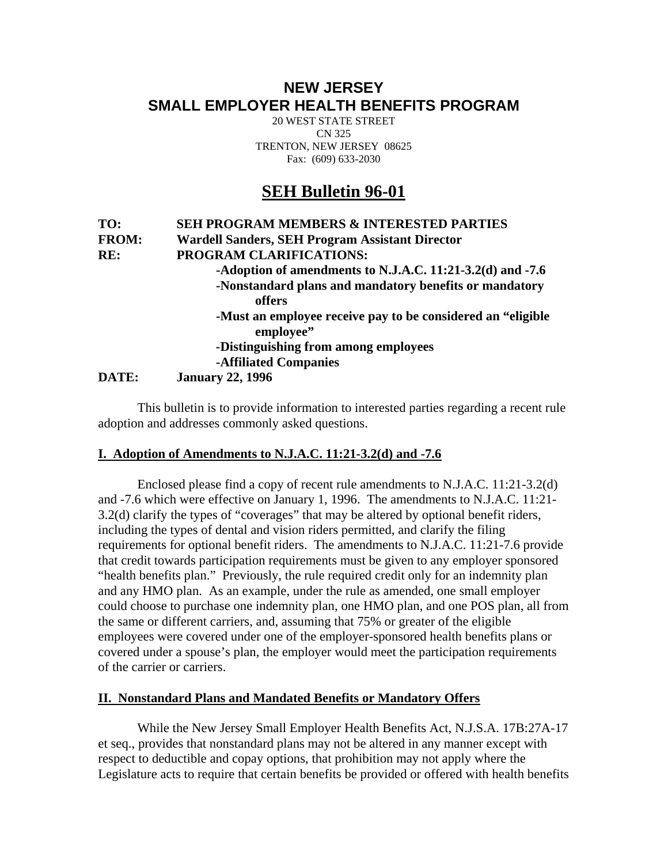## **NEW JERSEY SMALL EMPLOYER HEALTH BENEFITS PROGRAM**

20 WEST STATE STREET CN 325 TRENTON, NEW JERSEY 08625 Fax: (609) 633-2030

# **SEH Bulletin 96-01**

### **TO: SEH PROGRAM MEMBERS & INTERESTED PARTIES FROM: Wardell Sanders, SEH Program Assistant Director RE: PROGRAM CLARIFICATIONS: -Adoption of amendments to N.J.A.C. 11:21-3.2(d) and -7.6 -Nonstandard plans and mandatory benefits or mandatory offers -Must an employee receive pay to be considered an "eligible employee" -Distinguishing from among employees -Affiliated Companies DATE: January 22, 1996**

 This bulletin is to provide information to interested parties regarding a recent rule adoption and addresses commonly asked questions.

### **I. Adoption of Amendments to N.J.A.C. 11:21-3.2(d) and -7.6**

 Enclosed please find a copy of recent rule amendments to N.J.A.C. 11:21-3.2(d) and -7.6 which were effective on January 1, 1996. The amendments to N.J.A.C. 11:21- 3.2(d) clarify the types of "coverages" that may be altered by optional benefit riders, including the types of dental and vision riders permitted, and clarify the filing requirements for optional benefit riders. The amendments to N.J.A.C. 11:21-7.6 provide that credit towards participation requirements must be given to any employer sponsored "health benefits plan." Previously, the rule required credit only for an indemnity plan and any HMO plan. As an example, under the rule as amended, one small employer could choose to purchase one indemnity plan, one HMO plan, and one POS plan, all from the same or different carriers, and, assuming that 75% or greater of the eligible employees were covered under one of the employer-sponsored health benefits plans or covered under a spouse's plan, the employer would meet the participation requirements of the carrier or carriers.

### **II. Nonstandard Plans and Mandated Benefits or Mandatory Offers**

 While the New Jersey Small Employer Health Benefits Act, N.J.S.A. 17B:27A-17 et seq., provides that nonstandard plans may not be altered in any manner except with respect to deductible and copay options, that prohibition may not apply where the Legislature acts to require that certain benefits be provided or offered with health benefits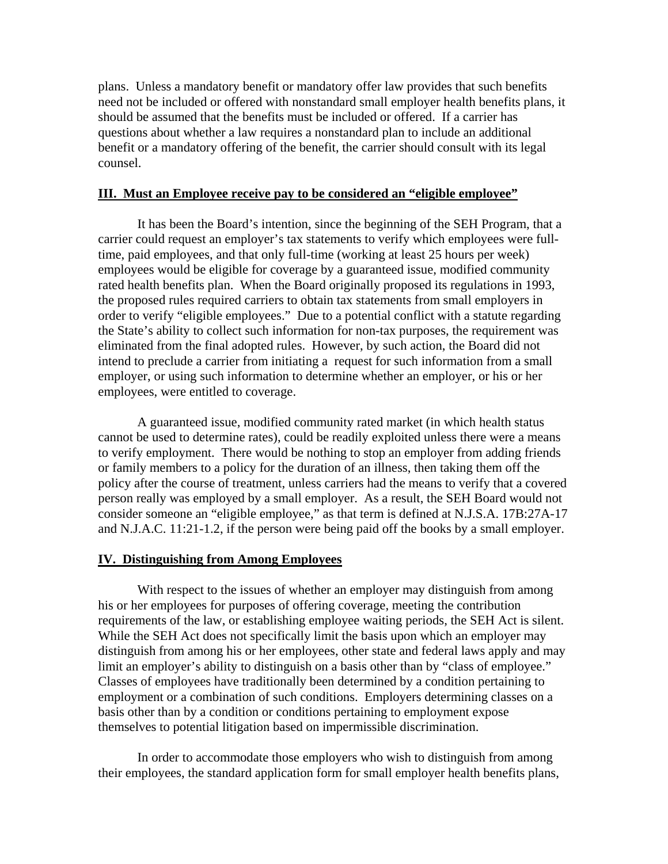plans. Unless a mandatory benefit or mandatory offer law provides that such benefits need not be included or offered with nonstandard small employer health benefits plans, it should be assumed that the benefits must be included or offered. If a carrier has questions about whether a law requires a nonstandard plan to include an additional benefit or a mandatory offering of the benefit, the carrier should consult with its legal counsel.

#### **III. Must an Employee receive pay to be considered an "eligible employee"**

 It has been the Board's intention, since the beginning of the SEH Program, that a carrier could request an employer's tax statements to verify which employees were fulltime, paid employees, and that only full-time (working at least 25 hours per week) employees would be eligible for coverage by a guaranteed issue, modified community rated health benefits plan. When the Board originally proposed its regulations in 1993, the proposed rules required carriers to obtain tax statements from small employers in order to verify "eligible employees." Due to a potential conflict with a statute regarding the State's ability to collect such information for non-tax purposes, the requirement was eliminated from the final adopted rules. However, by such action, the Board did not intend to preclude a carrier from initiating a request for such information from a small employer, or using such information to determine whether an employer, or his or her employees, were entitled to coverage.

 A guaranteed issue, modified community rated market (in which health status cannot be used to determine rates), could be readily exploited unless there were a means to verify employment. There would be nothing to stop an employer from adding friends or family members to a policy for the duration of an illness, then taking them off the policy after the course of treatment, unless carriers had the means to verify that a covered person really was employed by a small employer. As a result, the SEH Board would not consider someone an "eligible employee," as that term is defined at N.J.S.A. 17B:27A-17 and N.J.A.C. 11:21-1.2, if the person were being paid off the books by a small employer.

#### **IV. Distinguishing from Among Employees**

 With respect to the issues of whether an employer may distinguish from among his or her employees for purposes of offering coverage, meeting the contribution requirements of the law, or establishing employee waiting periods, the SEH Act is silent. While the SEH Act does not specifically limit the basis upon which an employer may distinguish from among his or her employees, other state and federal laws apply and may limit an employer's ability to distinguish on a basis other than by "class of employee." Classes of employees have traditionally been determined by a condition pertaining to employment or a combination of such conditions. Employers determining classes on a basis other than by a condition or conditions pertaining to employment expose themselves to potential litigation based on impermissible discrimination.

 In order to accommodate those employers who wish to distinguish from among their employees, the standard application form for small employer health benefits plans,